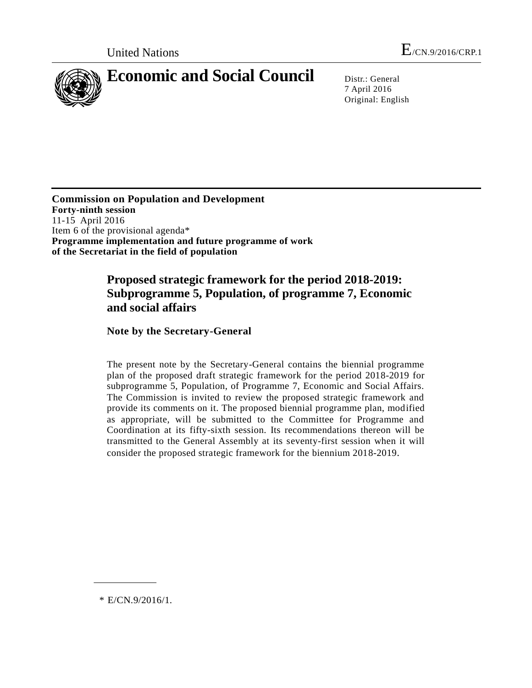

7 April 2016 Original: English

**Commission on Population and Development Forty-ninth session** 11-15 April 2016 Item 6 of the provisional agenda\* **Programme implementation and future programme of work of the Secretariat in the field of population**

## **Proposed strategic framework for the period 2018-2019: Subprogramme 5, Population, of programme 7, Economic and social affairs**

**Note by the Secretary-General**

The present note by the Secretary-General contains the biennial programme plan of the proposed draft strategic framework for the period 2018-2019 for subprogramme 5, Population, of Programme 7, Economic and Social Affairs. The Commission is invited to review the proposed strategic framework and provide its comments on it. The proposed biennial programme plan, modified as appropriate, will be submitted to the Committee for Programme and Coordination at its fifty-sixth session. Its recommendations thereon will be transmitted to the General Assembly at its seventy-first session when it will consider the proposed strategic framework for the biennium 2018-2019.

\* E/CN.9/2016/1.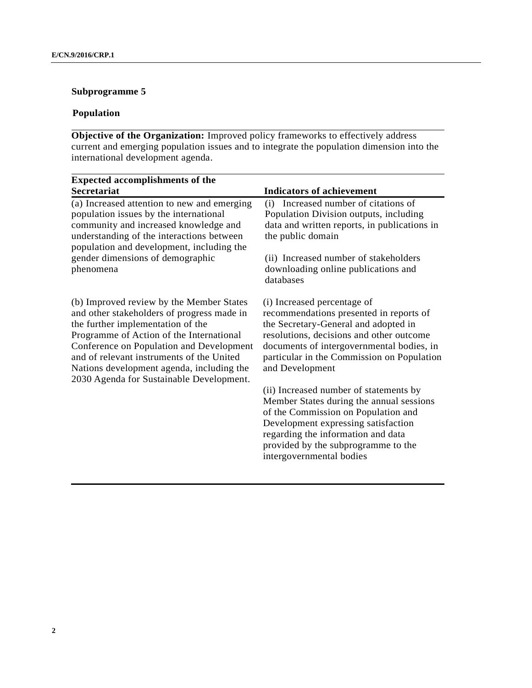## **Subprogramme 5**

## **Population**

**Objective of the Organization:** Improved policy frameworks to effectively address current and emerging population issues and to integrate the population dimension into the international development agenda.

| <b>Expected accomplishments of the</b>                                                                                                                                                                                                                                                                                                                    |                                                                                                                                                                                                                                                                           |
|-----------------------------------------------------------------------------------------------------------------------------------------------------------------------------------------------------------------------------------------------------------------------------------------------------------------------------------------------------------|---------------------------------------------------------------------------------------------------------------------------------------------------------------------------------------------------------------------------------------------------------------------------|
| Secretariat                                                                                                                                                                                                                                                                                                                                               | <b>Indicators of achievement</b>                                                                                                                                                                                                                                          |
| (a) Increased attention to new and emerging<br>population issues by the international<br>community and increased knowledge and<br>understanding of the interactions between<br>population and development, including the                                                                                                                                  | Increased number of citations of<br>(i)<br>Population Division outputs, including<br>data and written reports, in publications in<br>the public domain                                                                                                                    |
| gender dimensions of demographic<br>phenomena                                                                                                                                                                                                                                                                                                             | (ii) Increased number of stakeholders<br>downloading online publications and<br>databases                                                                                                                                                                                 |
| (b) Improved review by the Member States<br>and other stakeholders of progress made in<br>the further implementation of the<br>Programme of Action of the International<br>Conference on Population and Development<br>and of relevant instruments of the United<br>Nations development agenda, including the<br>2030 Agenda for Sustainable Development. | (i) Increased percentage of<br>recommendations presented in reports of<br>the Secretary-General and adopted in<br>resolutions, decisions and other outcome<br>documents of intergovernmental bodies, in<br>particular in the Commission on Population<br>and Development  |
|                                                                                                                                                                                                                                                                                                                                                           | (ii) Increased number of statements by<br>Member States during the annual sessions<br>of the Commission on Population and<br>Development expressing satisfaction<br>regarding the information and data<br>provided by the subprogramme to the<br>intergovernmental bodies |